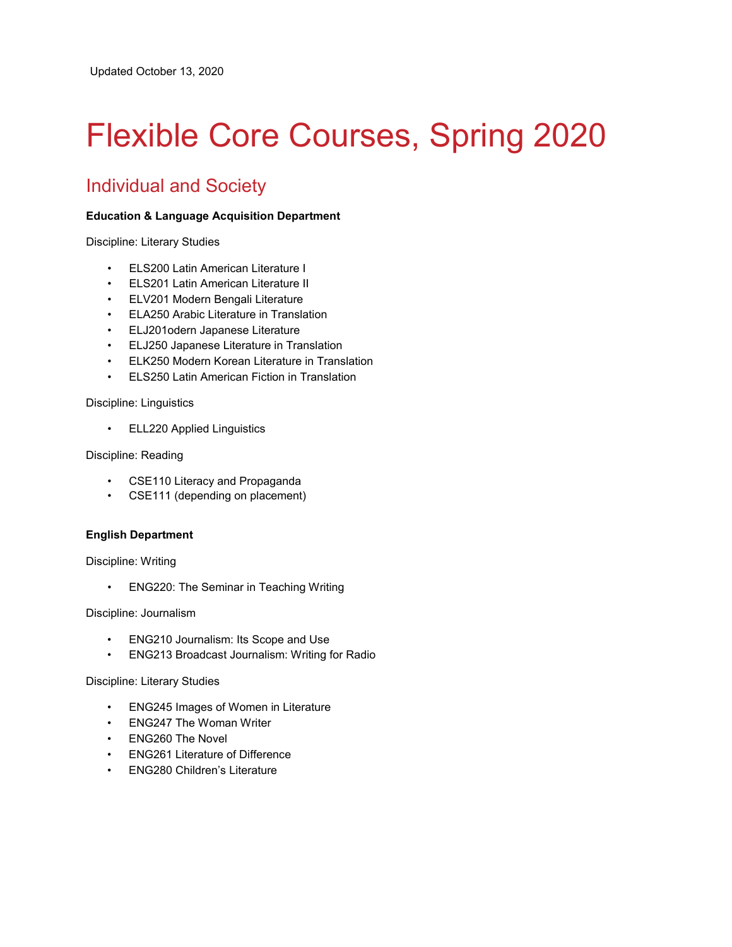# Flexible Core Courses, Spring 2020

# Individual and Society

## **Education & Language Acquisition Department**

Discipline: Literary Studies

- ELS200 Latin American Literature I
- ELS201 Latin American Literature II
- ELV201 Modern Bengali Literature
- ELA250 Arabic Literature in Translation
- ELJ201odern Japanese Literature
- ELJ250 Japanese Literature in Translation
- ELK250 Modern Korean Literature in Translation
- ELS250 Latin American Fiction in Translation

Discipline: Linguistics

• ELL220 Applied Linguistics

Discipline: Reading

- CSE110 Literacy and Propaganda
- CSE111 (depending on placement)

## **English Department**

Discipline: Writing

• ENG220: The Seminar in Teaching Writing

Discipline: Journalism

- ENG210 Journalism: Its Scope and Use
- ENG213 Broadcast Journalism: Writing for Radio

Discipline: Literary Studies

- ENG245 Images of Women in Literature
- ENG247 The Woman Writer
- ENG260 The Novel
- ENG261 Literature of Difference
- ENG280 Children's Literature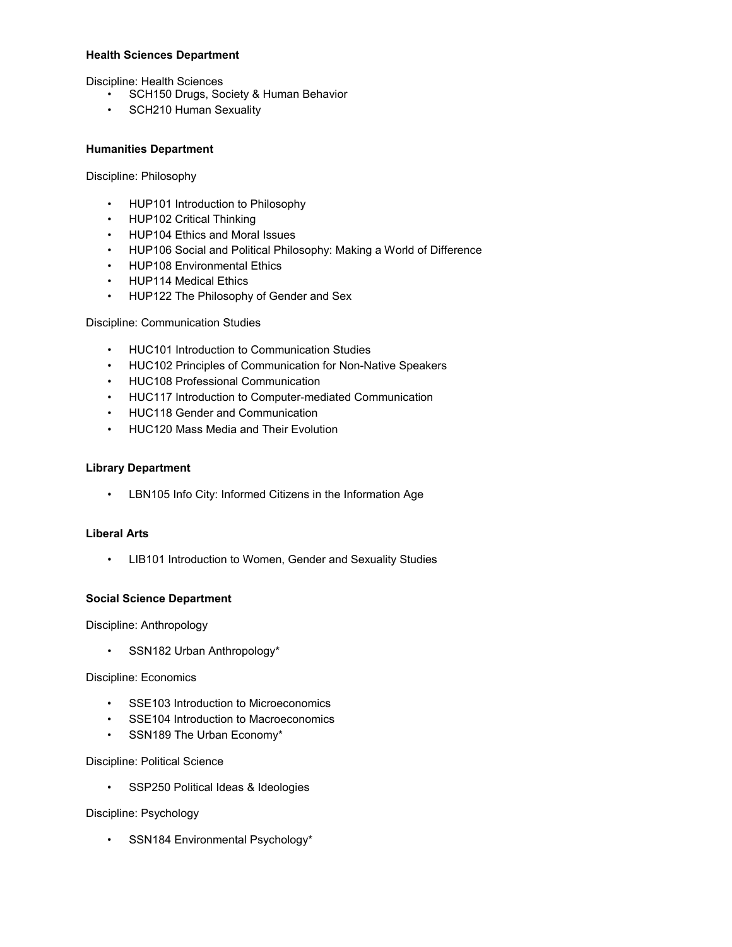#### **Health Sciences Department**

Discipline: Health Sciences

- SCH150 Drugs, Society & Human Behavior
- SCH210 Human Sexuality

#### **Humanities Department**

#### Discipline: Philosophy

- HUP101 Introduction to Philosophy
- HUP102 Critical Thinking
- HUP104 Ethics and Moral Issues
- HUP106 Social and Political Philosophy: Making a World of Difference
- HUP108 Environmental Ethics
- HUP114 Medical Ethics
- HUP122 The Philosophy of Gender and Sex

## Discipline: Communication Studies

- HUC101 Introduction to Communication Studies
- HUC102 Principles of Communication for Non-Native Speakers
- HUC108 Professional Communication
- HUC117 Introduction to Computer-mediated Communication
- HUC118 Gender and Communication
- HUC120 Mass Media and Their Evolution

#### **Library Department**

• LBN105 Info City: Informed Citizens in the Information Age

## **Liberal Arts**

• LIB101 Introduction to Women, Gender and Sexuality Studies

## **Social Science Department**

Discipline: Anthropology

• SSN182 Urban Anthropology\*

#### Discipline: Economics

- SSE103 Introduction to Microeconomics
- SSE104 Introduction to Macroeconomics
- SSN189 The Urban Economy\*

#### Discipline: Political Science

• SSP250 Political Ideas & Ideologies

Discipline: Psychology

• SSN184 Environmental Psychology\*